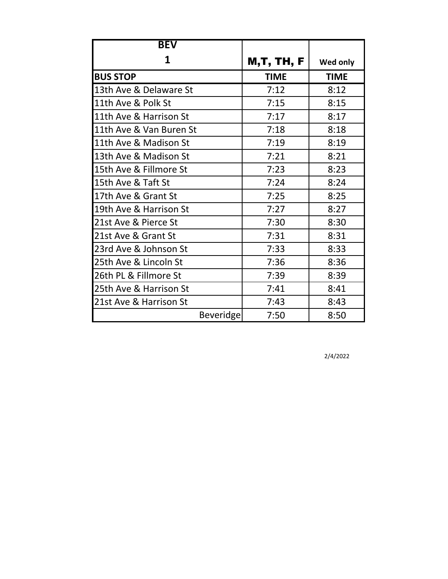| <b>BEV</b>              |             |             |
|-------------------------|-------------|-------------|
| 1                       | M,T, TH, F  | Wed only    |
| <b>BUS STOP</b>         | <b>TIME</b> | <b>TIME</b> |
| 13th Ave & Delaware St  | 7:12        | 8:12        |
| 11th Ave & Polk St      | 7:15        | 8:15        |
| 11th Ave & Harrison St  | 7:17        | 8:17        |
| 11th Ave & Van Buren St | 7:18        | 8:18        |
| 11th Ave & Madison St   | 7:19        | 8:19        |
| 13th Ave & Madison St   | 7:21        | 8:21        |
| 15th Ave & Fillmore St  | 7:23        | 8:23        |
| 15th Ave & Taft St      | 7:24        | 8:24        |
| 17th Ave & Grant St     | 7:25        | 8:25        |
| 19th Ave & Harrison St  | 7:27        | 8:27        |
| 21st Ave & Pierce St    | 7:30        | 8:30        |
| 21st Ave & Grant St     | 7:31        | 8:31        |
| 23rd Ave & Johnson St   | 7:33        | 8:33        |
| 25th Ave & Lincoln St   | 7:36        | 8:36        |
| 26th PL & Fillmore St   | 7:39        | 8:39        |
| 25th Ave & Harrison St  | 7:41        | 8:41        |
| 21st Ave & Harrison St  | 7:43        | 8:43        |
| <b>Beveridge</b>        | 7:50        | 8:50        |

2/4/2022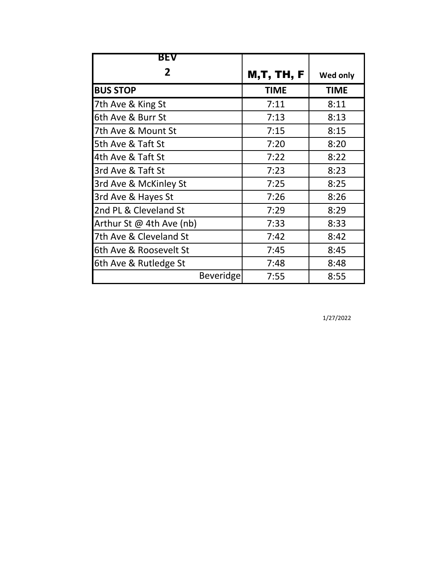| BEV                      |                   |             |
|--------------------------|-------------------|-------------|
| 2                        | <b>M,T, TH, F</b> | Wed only    |
| <b>BUS STOP</b>          | <b>TIME</b>       | <b>TIME</b> |
| 7th Ave & King St        | 7:11              | 8:11        |
| 6th Ave & Burr St        | 7:13              | 8:13        |
| 7th Ave & Mount St       | 7:15              | 8:15        |
| 5th Ave & Taft St        | 7:20              | 8:20        |
| 4th Ave & Taft St        | 7:22              | 8:22        |
| 3rd Ave & Taft St        | 7:23              | 8:23        |
| 3rd Ave & McKinley St    | 7:25              | 8:25        |
| 3rd Ave & Hayes St       | 7:26              | 8:26        |
| 2nd PL & Cleveland St    | 7:29              | 8:29        |
| Arthur St @ 4th Ave (nb) | 7:33              | 8:33        |
| 7th Ave & Cleveland St   | 7:42              | 8:42        |
| 6th Ave & Roosevelt St   | 7:45              | 8:45        |
| 6th Ave & Rutledge St    | 7:48              | 8:48        |
| <b>Beveridge</b>         | 7:55              | 8:55        |

1/27/2022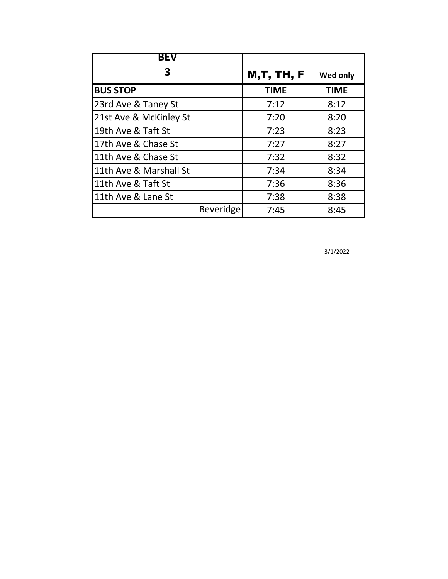| <b>BEV</b>             |                   |             |
|------------------------|-------------------|-------------|
|                        | <b>M,T, TH, F</b> | Wed only    |
| <b>BUS STOP</b>        | <b>TIME</b>       | <b>TIME</b> |
| 23rd Ave & Taney St    | 7:12              | 8:12        |
| 21st Ave & McKinley St | 7:20              | 8:20        |
| 19th Ave & Taft St     | 7:23              | 8:23        |
| 17th Ave & Chase St    | 7:27              | 8:27        |
| 11th Ave & Chase St    | 7:32              | 8:32        |
| 11th Ave & Marshall St | 7:34              | 8:34        |
| 11th Ave & Taft St     | 7:36              | 8:36        |
| 11th Ave & Lane St     | 7:38              | 8:38        |
| Beveridge              | 7:45              | 8:45        |

3/1/2022